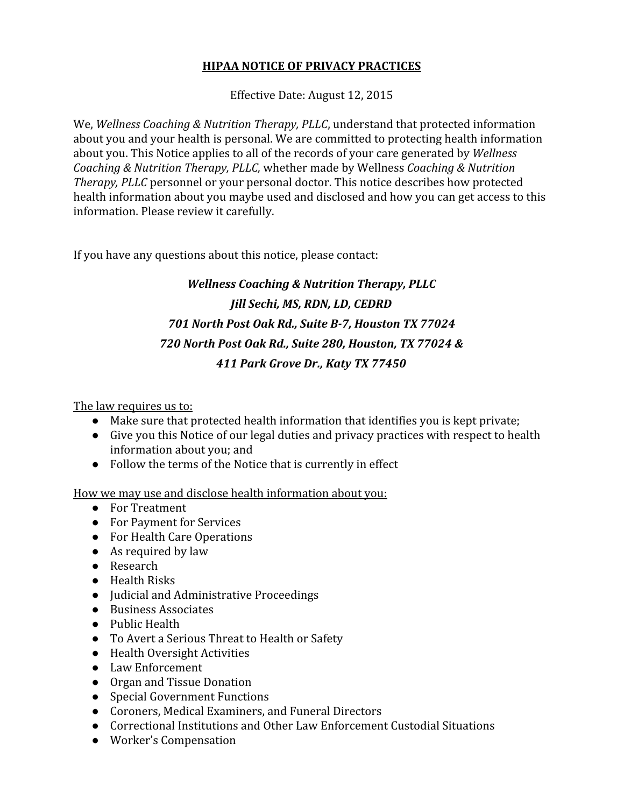### **HIPAA NOTICE OF PRIVACY PRACTICES**

Effective Date: August 12, 2015

We, *Wellness Coaching & Nutrition Therapy, PLLC*, understand that protected information about you and your health is personal. We are committed to protecting health information about you. This Notice applies to all of the records of your care generated by *Wellness Coaching & Nutrition Therapy, PLLC,* whether made by Wellness *Coaching & Nutrition Therapy, PLLC* personnel or your personal doctor. This notice describes how protected health information about you maybe used and disclosed and how you can get access to this information. Please review it carefully.

If you have any questions about this notice, please contact:

# *Wellness Coaching & Nutrition Therapy, PLLC Jill Sechi, MS, RDN, LD, CEDRD 701 North Post Oak Rd., Suite B7, Houston TX 77024 720 North Post Oak Rd., Suite 280, Houston, TX 77024 & 411 Park Grove Dr., Katy TX 77450*

The law requires us to:

- Make sure that protected health information that identifies you is kept private;
- Give you this Notice of our legal duties and privacy practices with respect to health information about you; and
- Follow the terms of the Notice that is currently in effect

How we may use and disclose health information about you:

- For Treatment
- For Payment for Services
- For Health Care Operations
- As required by law
- Research
- Health Risks
- Judicial and Administrative Proceedings
- Business Associates
- Public Health
- To Avert a Serious Threat to Health or Safety
- Health Oversight Activities
- Law Enforcement
- Organ and Tissue Donation
- Special Government Functions
- Coroners, Medical Examiners, and Funeral Directors
- Correctional Institutions and Other Law Enforcement Custodial Situations
- Worker's Compensation